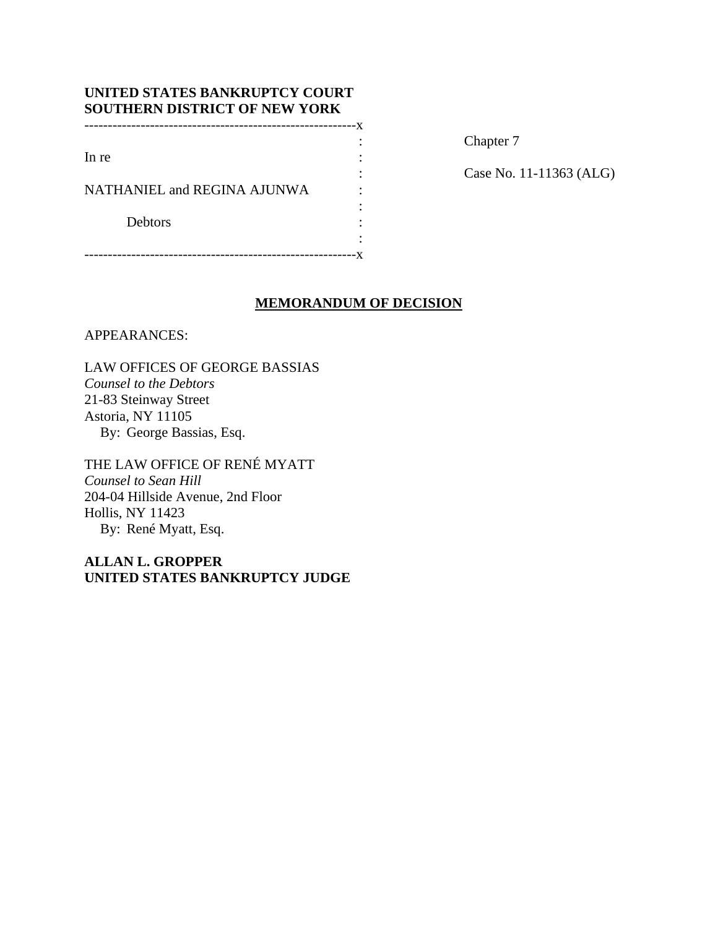| UNITED STATES BANKRUPTCY COURT<br><b>SOUTHERN DISTRICT OF NEW YORK</b> |  |
|------------------------------------------------------------------------|--|
|                                                                        |  |
|                                                                        |  |
| In re                                                                  |  |
|                                                                        |  |
| NATHANIEL and REGINA AJUNWA                                            |  |
|                                                                        |  |
| <b>Debtors</b>                                                         |  |
|                                                                        |  |
|                                                                        |  |

Chapter 7

: Case No. 11-11363 (ALG)

# **MEMORANDUM OF DECISION**

APPEARANCES:

LAW OFFICES OF GEORGE BASSIAS *Counsel to the Debtors*  21-83 Steinway Street Astoria, NY 11105 By: George Bassias, Esq.

THE LAW OFFICE OF RENÉ MYATT *Counsel to Sean Hill* 204-04 Hillside Avenue, 2nd Floor Hollis, NY 11423 By: René Myatt, Esq.

**ALLAN L. GROPPER UNITED STATES BANKRUPTCY JUDGE**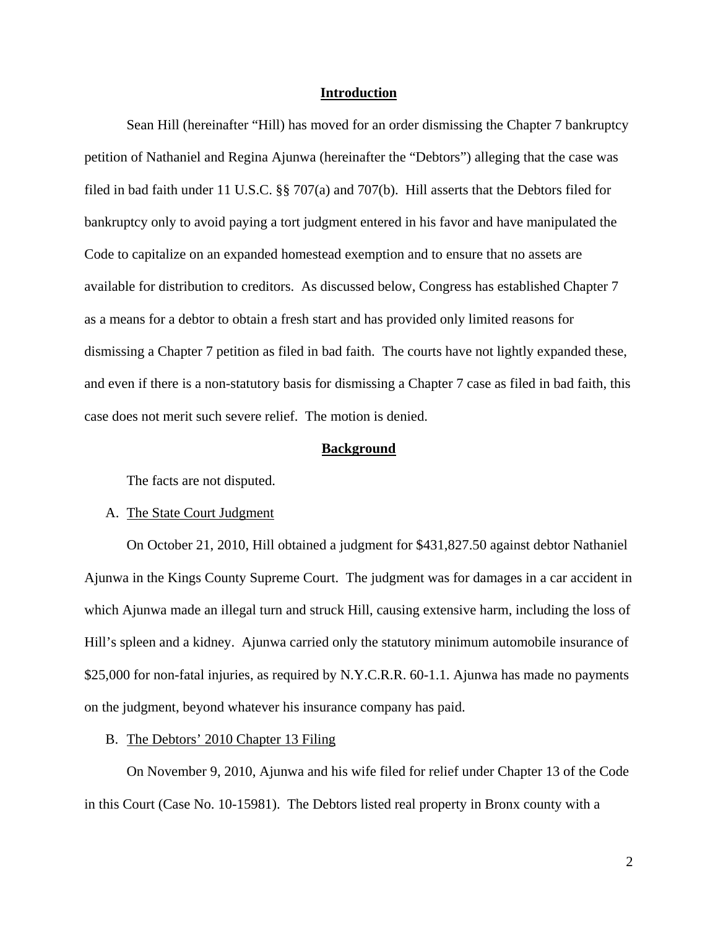## **Introduction**

 Sean Hill (hereinafter "Hill) has moved for an order dismissing the Chapter 7 bankruptcy petition of Nathaniel and Regina Ajunwa (hereinafter the "Debtors") alleging that the case was filed in bad faith under 11 U.S.C. §§ 707(a) and 707(b). Hill asserts that the Debtors filed for bankruptcy only to avoid paying a tort judgment entered in his favor and have manipulated the Code to capitalize on an expanded homestead exemption and to ensure that no assets are available for distribution to creditors. As discussed below, Congress has established Chapter 7 as a means for a debtor to obtain a fresh start and has provided only limited reasons for dismissing a Chapter 7 petition as filed in bad faith. The courts have not lightly expanded these, and even if there is a non-statutory basis for dismissing a Chapter 7 case as filed in bad faith, this case does not merit such severe relief. The motion is denied.

### **Background**

The facts are not disputed.

#### A. The State Court Judgment

On October 21, 2010, Hill obtained a judgment for \$431,827.50 against debtor Nathaniel Ajunwa in the Kings County Supreme Court. The judgment was for damages in a car accident in which Ajunwa made an illegal turn and struck Hill, causing extensive harm, including the loss of Hill's spleen and a kidney. Ajunwa carried only the statutory minimum automobile insurance of \$25,000 for non-fatal injuries, as required by N.Y.C.R.R. 60-1.1. Ajunwa has made no payments on the judgment, beyond whatever his insurance company has paid.

## B. The Debtors' 2010 Chapter 13 Filing

 On November 9, 2010, Ajunwa and his wife filed for relief under Chapter 13 of the Code in this Court (Case No. 10-15981). The Debtors listed real property in Bronx county with a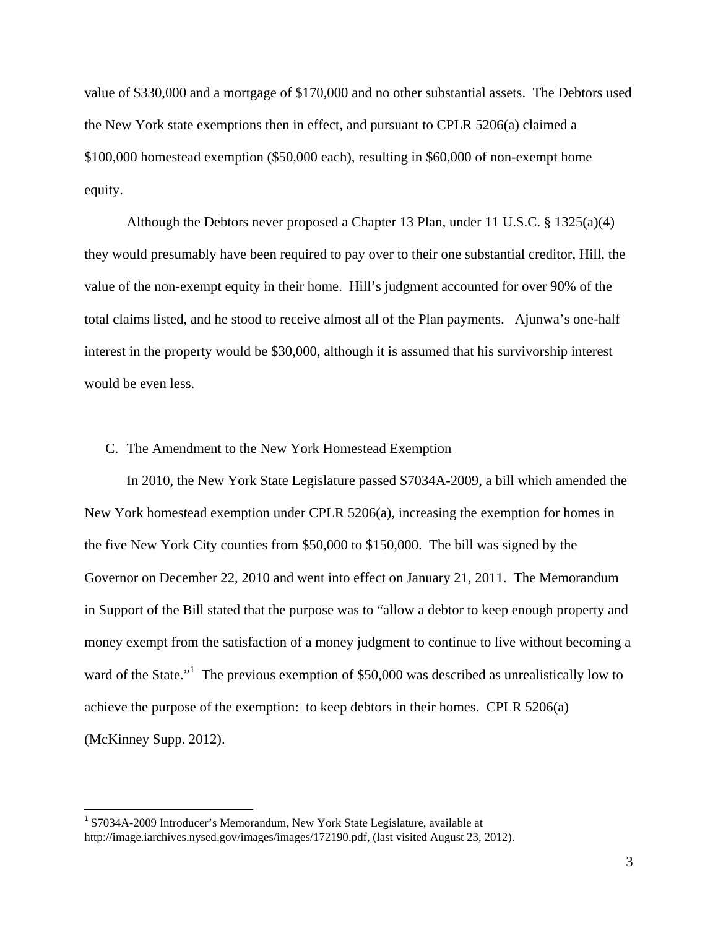value of \$330,000 and a mortgage of \$170,000 and no other substantial assets. The Debtors used the New York state exemptions then in effect, and pursuant to CPLR 5206(a) claimed a \$100,000 homestead exemption (\$50,000 each), resulting in \$60,000 of non-exempt home equity.

 Although the Debtors never proposed a Chapter 13 Plan, under 11 U.S.C. § 1325(a)(4) they would presumably have been required to pay over to their one substantial creditor, Hill, the value of the non-exempt equity in their home. Hill's judgment accounted for over 90% of the total claims listed, and he stood to receive almost all of the Plan payments. Ajunwa's one-half interest in the property would be \$30,000, although it is assumed that his survivorship interest would be even less.

# C. The Amendment to the New York Homestead Exemption

 In 2010, the New York State Legislature passed S7034A-2009, a bill which amended the New York homestead exemption under CPLR 5206(a), increasing the exemption for homes in the five New York City counties from \$50,000 to \$150,000. The bill was signed by the Governor on December 22, 2010 and went into effect on January 21, 2011. The Memorandum in Support of the Bill stated that the purpose was to "allow a debtor to keep enough property and money exempt from the satisfaction of a money judgment to continue to live without becoming a ward of the State."<sup>1</sup> The previous exemption of \$50,000 was described as unrealistically low to achieve the purpose of the exemption: to keep debtors in their homes. CPLR 5206(a) (McKinney Supp. 2012).

<sup>&</sup>lt;sup>1</sup> S7034A-2009 Introducer's Memorandum, New York State Legislature, available at http://image.iarchives.nysed.gov/images/images/172190.pdf, (last visited August 23, 2012).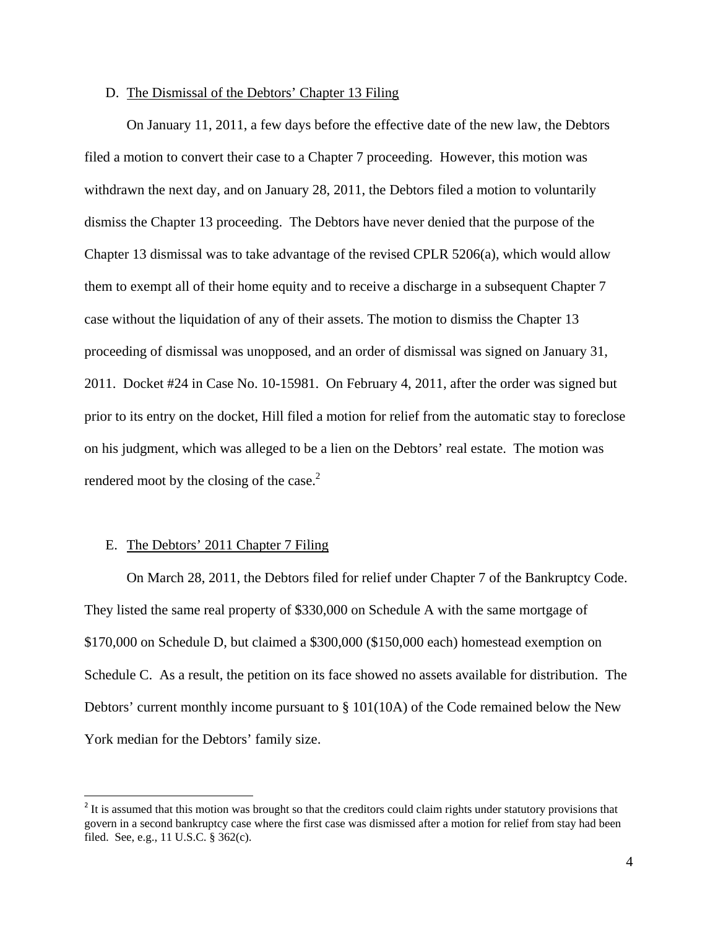### D. The Dismissal of the Debtors' Chapter 13 Filing

 On January 11, 2011, a few days before the effective date of the new law, the Debtors filed a motion to convert their case to a Chapter 7 proceeding. However, this motion was withdrawn the next day, and on January 28, 2011, the Debtors filed a motion to voluntarily dismiss the Chapter 13 proceeding. The Debtors have never denied that the purpose of the Chapter 13 dismissal was to take advantage of the revised CPLR 5206(a), which would allow them to exempt all of their home equity and to receive a discharge in a subsequent Chapter 7 case without the liquidation of any of their assets. The motion to dismiss the Chapter 13 proceeding of dismissal was unopposed, and an order of dismissal was signed on January 31, 2011. Docket #24 in Case No. 10-15981. On February 4, 2011, after the order was signed but prior to its entry on the docket, Hill filed a motion for relief from the automatic stay to foreclose on his judgment, which was alleged to be a lien on the Debtors' real estate. The motion was rendered moot by the closing of the case. $2$ 

## E. The Debtors' 2011 Chapter 7 Filing

 On March 28, 2011, the Debtors filed for relief under Chapter 7 of the Bankruptcy Code. They listed the same real property of \$330,000 on Schedule A with the same mortgage of \$170,000 on Schedule D, but claimed a \$300,000 (\$150,000 each) homestead exemption on Schedule C. As a result, the petition on its face showed no assets available for distribution. The Debtors' current monthly income pursuant to § 101(10A) of the Code remained below the New York median for the Debtors' family size.

<sup>&</sup>lt;sup>2</sup> It is assumed that this motion was brought so that the creditors could claim rights under statutory provisions that govern in a second bankruptcy case where the first case was dismissed after a motion for relief from stay had been filed. See, e.g., 11 U.S.C. § 362(c).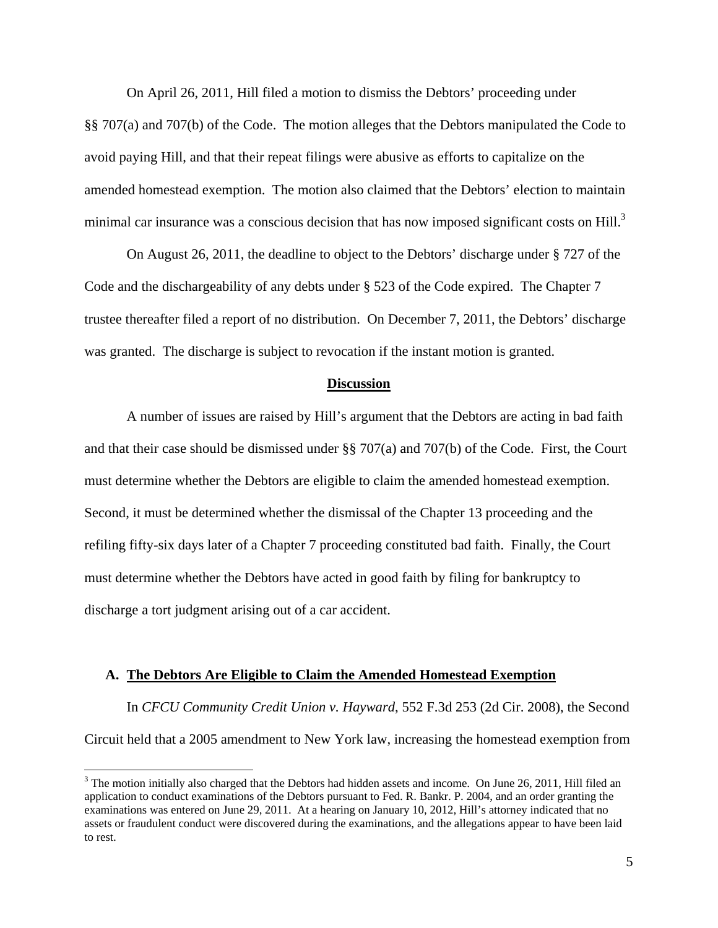On April 26, 2011, Hill filed a motion to dismiss the Debtors' proceeding under §§ 707(a) and 707(b) of the Code. The motion alleges that the Debtors manipulated the Code to avoid paying Hill, and that their repeat filings were abusive as efforts to capitalize on the amended homestead exemption. The motion also claimed that the Debtors' election to maintain minimal car insurance was a conscious decision that has now imposed significant costs on Hill.<sup>3</sup>

 On August 26, 2011, the deadline to object to the Debtors' discharge under § 727 of the Code and the dischargeability of any debts under § 523 of the Code expired. The Chapter 7 trustee thereafter filed a report of no distribution. On December 7, 2011, the Debtors' discharge was granted. The discharge is subject to revocation if the instant motion is granted.

#### **Discussion**

 A number of issues are raised by Hill's argument that the Debtors are acting in bad faith and that their case should be dismissed under §§ 707(a) and 707(b) of the Code. First, the Court must determine whether the Debtors are eligible to claim the amended homestead exemption. Second, it must be determined whether the dismissal of the Chapter 13 proceeding and the refiling fifty-six days later of a Chapter 7 proceeding constituted bad faith. Finally, the Court must determine whether the Debtors have acted in good faith by filing for bankruptcy to discharge a tort judgment arising out of a car accident.

#### **A. The Debtors Are Eligible to Claim the Amended Homestead Exemption**

 In *CFCU Community Credit Union v. Hayward*, 552 F.3d 253 (2d Cir. 2008), the Second Circuit held that a 2005 amendment to New York law, increasing the homestead exemption from

 $3$  The motion initially also charged that the Debtors had hidden assets and income. On June 26, 2011, Hill filed an application to conduct examinations of the Debtors pursuant to Fed. R. Bankr. P. 2004, and an order granting the examinations was entered on June 29, 2011. At a hearing on January 10, 2012, Hill's attorney indicated that no assets or fraudulent conduct were discovered during the examinations, and the allegations appear to have been laid to rest.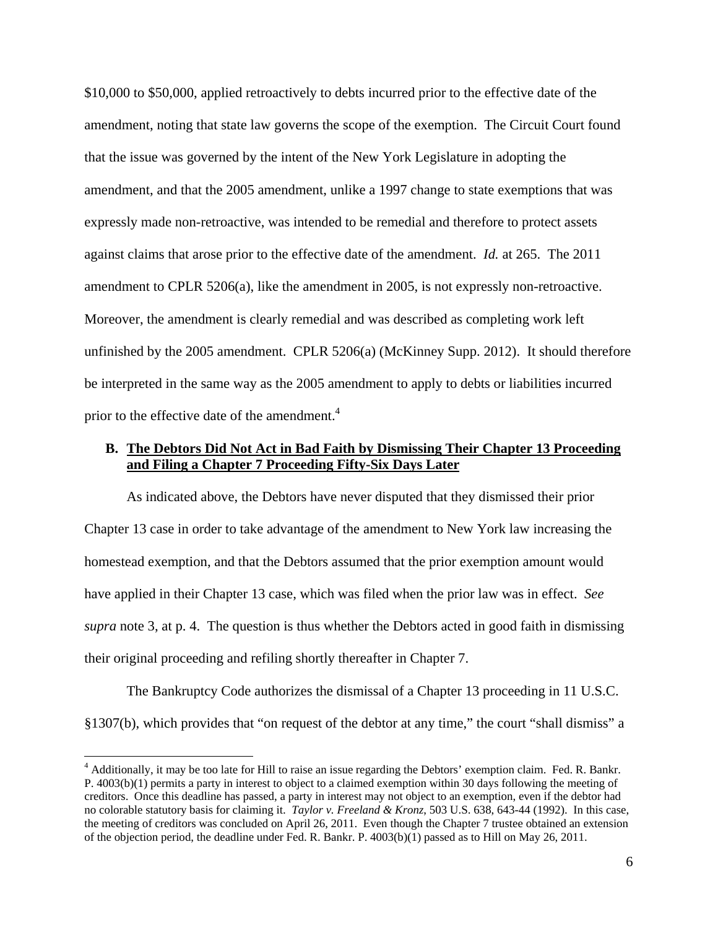\$10,000 to \$50,000, applied retroactively to debts incurred prior to the effective date of the amendment, noting that state law governs the scope of the exemption. The Circuit Court found that the issue was governed by the intent of the New York Legislature in adopting the amendment, and that the 2005 amendment, unlike a 1997 change to state exemptions that was expressly made non-retroactive, was intended to be remedial and therefore to protect assets against claims that arose prior to the effective date of the amendment. *Id.* at 265. The 2011 amendment to CPLR 5206(a), like the amendment in 2005, is not expressly non-retroactive. Moreover, the amendment is clearly remedial and was described as completing work left unfinished by the 2005 amendment. CPLR 5206(a) (McKinney Supp. 2012). It should therefore be interpreted in the same way as the 2005 amendment to apply to debts or liabilities incurred prior to the effective date of the amendment.<sup>4</sup>

# **B. The Debtors Did Not Act in Bad Faith by Dismissing Their Chapter 13 Proceeding and Filing a Chapter 7 Proceeding Fifty-Six Days Later**

 As indicated above, the Debtors have never disputed that they dismissed their prior Chapter 13 case in order to take advantage of the amendment to New York law increasing the homestead exemption, and that the Debtors assumed that the prior exemption amount would have applied in their Chapter 13 case, which was filed when the prior law was in effect. *See supra* note 3, at p. 4. The question is thus whether the Debtors acted in good faith in dismissing their original proceeding and refiling shortly thereafter in Chapter 7.

 The Bankruptcy Code authorizes the dismissal of a Chapter 13 proceeding in 11 U.S.C. §1307(b), which provides that "on request of the debtor at any time," the court "shall dismiss" a

<sup>&</sup>lt;sup>4</sup> Additionally, it may be too late for Hill to raise an issue regarding the Debtors' exemption claim. Fed. R. Bankr. P. 4003(b)(1) permits a party in interest to object to a claimed exemption within 30 days following the meeting of creditors. Once this deadline has passed, a party in interest may not object to an exemption, even if the debtor had no colorable statutory basis for claiming it. *Taylor v. Freeland & Kronz*, 503 U.S. 638, 643-44 (1992). In this case, the meeting of creditors was concluded on April 26, 2011. Even though the Chapter 7 trustee obtained an extension of the objection period, the deadline under Fed. R. Bankr. P. 4003(b)(1) passed as to Hill on May 26, 2011.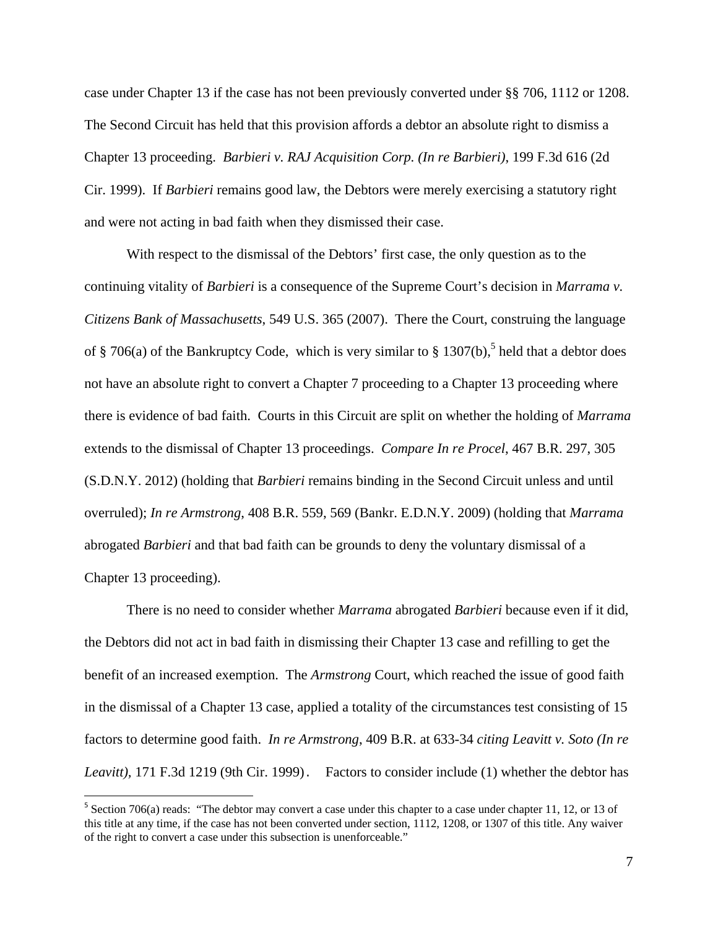case under Chapter 13 if the case has not been previously converted under §§ 706, 1112 or 1208. The Second Circuit has held that this provision affords a debtor an absolute right to dismiss a Chapter 13 proceeding. *Barbieri v. RAJ Acquisition Corp. (In re Barbieri)*, 199 F.3d 616 (2d Cir. 1999). If *Barbieri* remains good law, the Debtors were merely exercising a statutory right and were not acting in bad faith when they dismissed their case.

 With respect to the dismissal of the Debtors' first case, the only question as to the continuing vitality of *Barbieri* is a consequence of the Supreme Court's decision in *Marrama v. Citizens Bank of Massachusetts*, 549 U.S. 365 (2007). There the Court, construing the language of § 706(a) of the Bankruptcy Code, which is very similar to § 1307(b),<sup>5</sup> held that a debtor does not have an absolute right to convert a Chapter 7 proceeding to a Chapter 13 proceeding where there is evidence of bad faith. Courts in this Circuit are split on whether the holding of *Marrama* extends to the dismissal of Chapter 13 proceedings. *Compare In re Procel*, 467 B.R. 297, 305 (S.D.N.Y. 2012) (holding that *Barbieri* remains binding in the Second Circuit unless and until overruled); *In re Armstrong*, 408 B.R. 559, 569 (Bankr. E.D.N.Y. 2009) (holding that *Marrama* abrogated *Barbieri* and that bad faith can be grounds to deny the voluntary dismissal of a Chapter 13 proceeding).

 There is no need to consider whether *Marrama* abrogated *Barbieri* because even if it did, the Debtors did not act in bad faith in dismissing their Chapter 13 case and refilling to get the benefit of an increased exemption. The *Armstrong* Court, which reached the issue of good faith in the dismissal of a Chapter 13 case, applied a totality of the circumstances test consisting of 15 factors to determine good faith. *In re Armstrong*, 409 B.R. at 633-34 *citing Leavitt v. Soto (In re Leavitt),* 171 F.3d 1219 (9th Cir. 1999). Factors to consider include (1) whether the debtor has

<sup>&</sup>lt;sup>5</sup> Section 706(a) reads: "The debtor may convert a case under this chapter to a case under chapter 11, 12, or 13 of this title at any time, if the case has not been converted under section, 1112, 1208, or 1307 of this title. Any waiver of the right to convert a case under this subsection is unenforceable."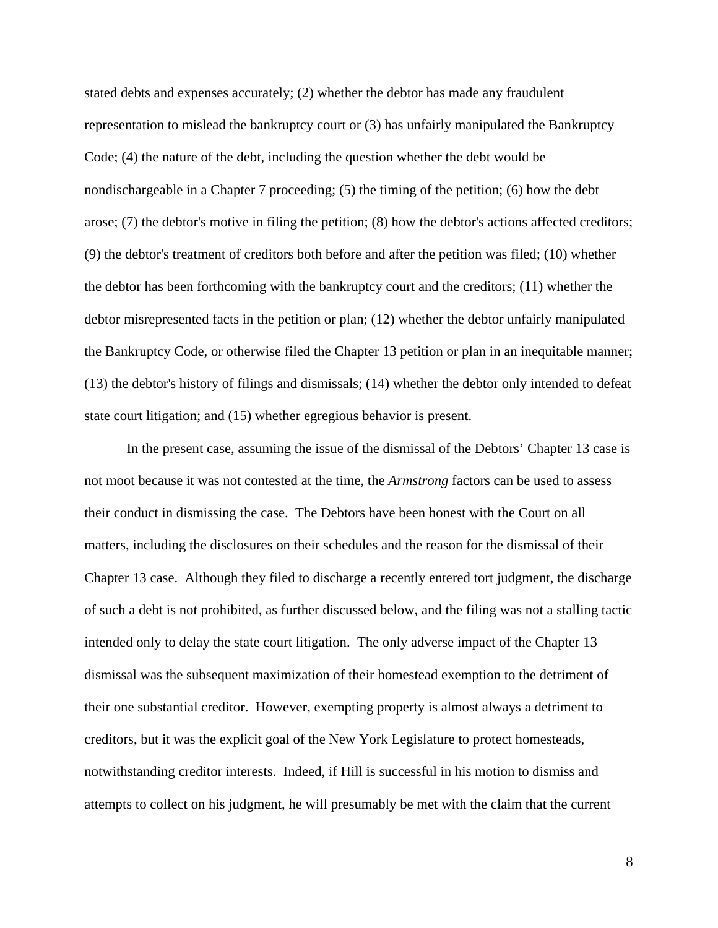stated debts and expenses accurately; (2) whether the debtor has made any fraudulent representation to mislead the bankruptcy court or (3) has unfairly manipulated the Bankruptcy Code; (4) the nature of the debt, including the question whether the debt would be nondischargeable in a Chapter 7 proceeding; (5) the timing of the petition; (6) how the debt arose; (7) the debtor's motive in filing the petition; (8) how the debtor's actions affected creditors; (9) the debtor's treatment of creditors both before and after the petition was filed; (10) whether the debtor has been forthcoming with the bankruptcy court and the creditors; (11) whether the debtor misrepresented facts in the petition or plan; (12) whether the debtor unfairly manipulated the Bankruptcy Code, or otherwise filed the Chapter 13 petition or plan in an inequitable manner; (13) the debtor's history of filings and dismissals; (14) whether the debtor only intended to defeat state court litigation; and (15) whether egregious behavior is present.

 In the present case, assuming the issue of the dismissal of the Debtors' Chapter 13 case is not moot because it was not contested at the time, the *Armstrong* factors can be used to assess their conduct in dismissing the case. The Debtors have been honest with the Court on all matters, including the disclosures on their schedules and the reason for the dismissal of their Chapter 13 case. Although they filed to discharge a recently entered tort judgment, the discharge of such a debt is not prohibited, as further discussed below, and the filing was not a stalling tactic intended only to delay the state court litigation. The only adverse impact of the Chapter 13 dismissal was the subsequent maximization of their homestead exemption to the detriment of their one substantial creditor. However, exempting property is almost always a detriment to creditors, but it was the explicit goal of the New York Legislature to protect homesteads, notwithstanding creditor interests. Indeed, if Hill is successful in his motion to dismiss and attempts to collect on his judgment, he will presumably be met with the claim that the current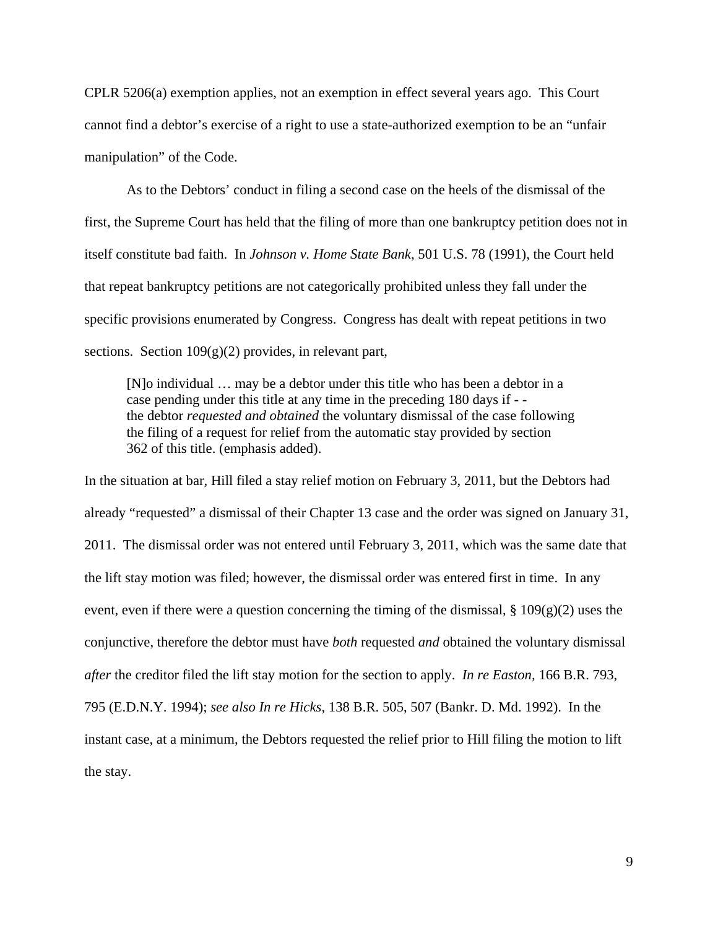CPLR 5206(a) exemption applies, not an exemption in effect several years ago. This Court cannot find a debtor's exercise of a right to use a state-authorized exemption to be an "unfair manipulation" of the Code.

 As to the Debtors' conduct in filing a second case on the heels of the dismissal of the first, the Supreme Court has held that the filing of more than one bankruptcy petition does not in itself constitute bad faith. In *Johnson v. Home State Bank*, 501 U.S. 78 (1991), the Court held that repeat bankruptcy petitions are not categorically prohibited unless they fall under the specific provisions enumerated by Congress. Congress has dealt with repeat petitions in two sections. Section  $109(g)(2)$  provides, in relevant part,

[N]o individual … may be a debtor under this title who has been a debtor in a case pending under this title at any time in the preceding 180 days if - the debtor *requested and obtained* the voluntary dismissal of the case following the filing of a request for relief from the automatic stay provided by section 362 of this title. (emphasis added).

In the situation at bar, Hill filed a stay relief motion on February 3, 2011, but the Debtors had already "requested" a dismissal of their Chapter 13 case and the order was signed on January 31, 2011. The dismissal order was not entered until February 3, 2011, which was the same date that the lift stay motion was filed; however, the dismissal order was entered first in time. In any event, even if there were a question concerning the timing of the dismissal,  $\S 109(g)(2)$  uses the conjunctive, therefore the debtor must have *both* requested *and* obtained the voluntary dismissal *after* the creditor filed the lift stay motion for the section to apply. *In re Easton,* 166 B.R. 793, 795 (E.D.N.Y. 1994); *see also In re Hicks*, 138 B.R. 505, 507 (Bankr. D. Md. 1992). In the instant case, at a minimum, the Debtors requested the relief prior to Hill filing the motion to lift the stay.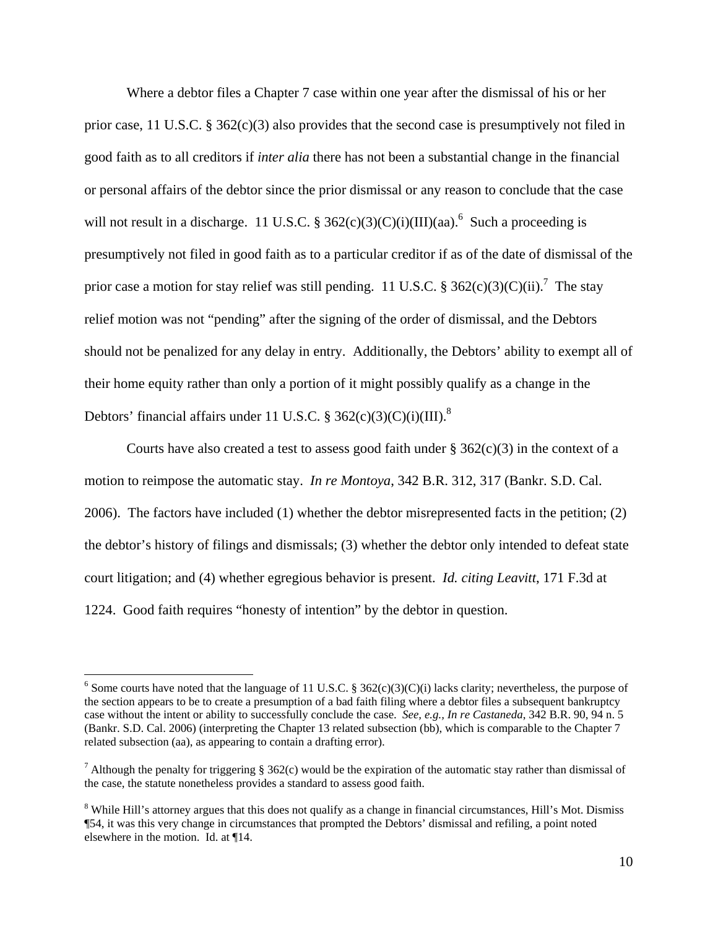Where a debtor files a Chapter 7 case within one year after the dismissal of his or her prior case, 11 U.S.C.  $\S 362(c)(3)$  also provides that the second case is presumptively not filed in good faith as to all creditors if *inter alia* there has not been a substantial change in the financial or personal affairs of the debtor since the prior dismissal or any reason to conclude that the case will not result in a discharge. 11 U.S.C. §  $362(c)(3)(C)(i)(III)(aa)$ .<sup>6</sup> Such a proceeding is presumptively not filed in good faith as to a particular creditor if as of the date of dismissal of the prior case a motion for stay relief was still pending. 11 U.S.C. § 362(c)(3)(C)(ii).<sup>7</sup> The stay relief motion was not "pending" after the signing of the order of dismissal, and the Debtors should not be penalized for any delay in entry. Additionally, the Debtors' ability to exempt all of their home equity rather than only a portion of it might possibly qualify as a change in the Debtors' financial affairs under 11 U.S.C. § 362(c)(3)(C)(i)(III).<sup>8</sup>

Courts have also created a test to assess good faith under  $\S 362(c)(3)$  in the context of a motion to reimpose the automatic stay. *In re Montoya*, 342 B.R. 312, 317 (Bankr. S.D. Cal. 2006). The factors have included (1) whether the debtor misrepresented facts in the petition; (2) the debtor's history of filings and dismissals; (3) whether the debtor only intended to defeat state court litigation; and (4) whether egregious behavior is present. *Id. citing Leavitt*, 171 F.3d at 1224. Good faith requires "honesty of intention" by the debtor in question.

<sup>&</sup>lt;sup>6</sup> Some courts have noted that the language of 11 U.S.C. § 362(c)(3)(C)(i) lacks clarity; nevertheless, the purpose of the section appears to be to create a presumption of a bad faith filing where a debtor files a subsequent bankruptcy case without the intent or ability to successfully conclude the case. *See, e.g., In re Castaneda*, 342 B.R. 90, 94 n. 5 (Bankr. S.D. Cal. 2006) (interpreting the Chapter 13 related subsection (bb), which is comparable to the Chapter 7 related subsection (aa), as appearing to contain a drafting error).

<sup>&</sup>lt;sup>7</sup> Although the penalty for triggering § 362(c) would be the expiration of the automatic stay rather than dismissal of the case, the statute nonetheless provides a standard to assess good faith.

<sup>&</sup>lt;sup>8</sup> While Hill's attorney argues that this does not qualify as a change in financial circumstances, Hill's Mot. Dismiss ¶54, it was this very change in circumstances that prompted the Debtors' dismissal and refiling, a point noted elsewhere in the motion. Id. at ¶14.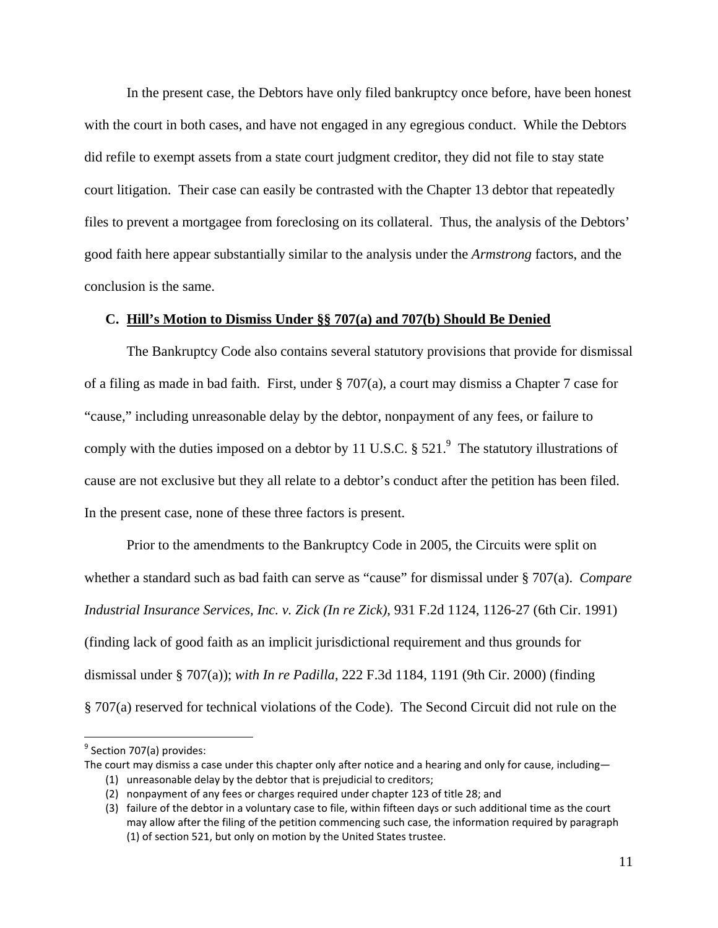In the present case, the Debtors have only filed bankruptcy once before, have been honest with the court in both cases, and have not engaged in any egregious conduct. While the Debtors did refile to exempt assets from a state court judgment creditor, they did not file to stay state court litigation. Their case can easily be contrasted with the Chapter 13 debtor that repeatedly files to prevent a mortgagee from foreclosing on its collateral. Thus, the analysis of the Debtors' good faith here appear substantially similar to the analysis under the *Armstrong* factors, and the conclusion is the same.

# **C. Hill's Motion to Dismiss Under §§ 707(a) and 707(b) Should Be Denied**

The Bankruptcy Code also contains several statutory provisions that provide for dismissal of a filing as made in bad faith. First, under § 707(a), a court may dismiss a Chapter 7 case for "cause," including unreasonable delay by the debtor, nonpayment of any fees, or failure to comply with the duties imposed on a debtor by 11 U.S.C.  $\S 521$ . The statutory illustrations of cause are not exclusive but they all relate to a debtor's conduct after the petition has been filed. In the present case, none of these three factors is present.

Prior to the amendments to the Bankruptcy Code in 2005, the Circuits were split on whether a standard such as bad faith can serve as "cause" for dismissal under § 707(a). *Compare Industrial Insurance Services, Inc. v. Zick (In re Zick)*, 931 F.2d 1124, 1126-27 (6th Cir. 1991) (finding lack of good faith as an implicit jurisdictional requirement and thus grounds for dismissal under § 707(a)); *with In re Padilla*, 222 F.3d 1184, 1191 (9th Cir. 2000) (finding § 707(a) reserved for technical violations of the Code). The Second Circuit did not rule on the

<sup>&</sup>lt;sup>9</sup> Section 707(a) provides:

The court may dismiss a case under this chapter only after notice and a hearing and only for cause, including—

<sup>(1)</sup> unreasonable delay by the debtor that is prejudicial to creditors;

<sup>(2)</sup> nonpayment of any fees or charges required under chapter 123 of title 28; and

<sup>(3)</sup> failure of the debtor in a voluntary case to file, within fifteen days or such additional time as the court may allow after the filing of the petition commencing such case, the information required by paragraph (1) of section 521, but only on motion by the United States trustee.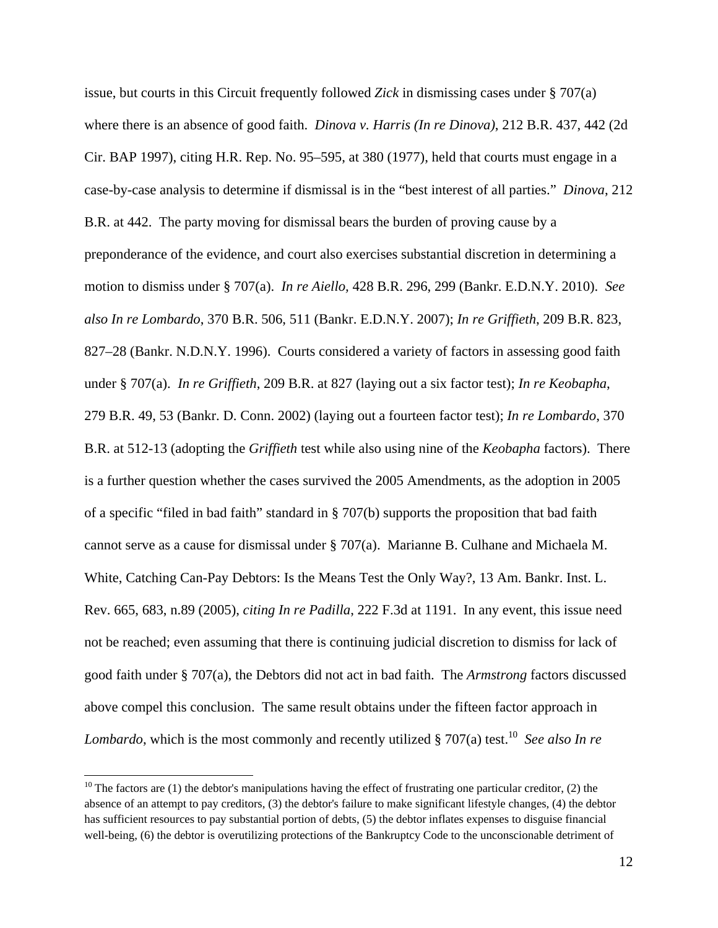issue, but courts in this Circuit frequently followed *Zick* in dismissing cases under § 707(a) where there is an absence of good faith. *Dinova v. Harris (In re Dinova)*, 212 B.R. 437, 442 (2d Cir. BAP 1997), citing H.R. Rep. No. 95–595, at 380 (1977), held that courts must engage in a case-by-case analysis to determine if dismissal is in the "best interest of all parties." *Dinova*, 212 B.R. at 442. The party moving for dismissal bears the burden of proving cause by a preponderance of the evidence, and court also exercises substantial discretion in determining a motion to dismiss under § 707(a). *In re Aiello,* 428 B.R. 296, 299 (Bankr. E.D.N.Y. 2010). *See also In re Lombardo*, 370 B.R. 506, 511 (Bankr. E.D.N.Y. 2007); *In re Griffieth*, 209 B.R. 823, 827–28 (Bankr. N.D.N.Y. 1996). Courts considered a variety of factors in assessing good faith under § 707(a). *In re Griffieth*, 209 B.R. at 827 (laying out a six factor test); *In re Keobapha*, 279 B.R. 49, 53 (Bankr. D. Conn. 2002) (laying out a fourteen factor test); *In re Lombardo*, 370 B.R. at 512-13 (adopting the *Griffieth* test while also using nine of the *Keobapha* factors). There is a further question whether the cases survived the 2005 Amendments, as the adoption in 2005 of a specific "filed in bad faith" standard in § 707(b) supports the proposition that bad faith cannot serve as a cause for dismissal under § 707(a). Marianne B. Culhane and Michaela M. White, Catching Can-Pay Debtors: Is the Means Test the Only Way?, 13 Am. Bankr. Inst. L. Rev. 665, 683, n.89 (2005), *citing In re Padilla*, 222 F.3d at 1191. In any event, this issue need not be reached; even assuming that there is continuing judicial discretion to dismiss for lack of good faith under § 707(a), the Debtors did not act in bad faith. The *Armstrong* factors discussed above compel this conclusion. The same result obtains under the fifteen factor approach in *Lombardo*, which is the most commonly and recently utilized § 707(a) test.<sup>10</sup> *See also In re* 

 $10$  The factors are (1) the debtor's manipulations having the effect of frustrating one particular creditor, (2) the absence of an attempt to pay creditors, (3) the debtor's failure to make significant lifestyle changes, (4) the debtor has sufficient resources to pay substantial portion of debts, (5) the debtor inflates expenses to disguise financial well-being, (6) the debtor is overutilizing protections of the Bankruptcy Code to the unconscionable detriment of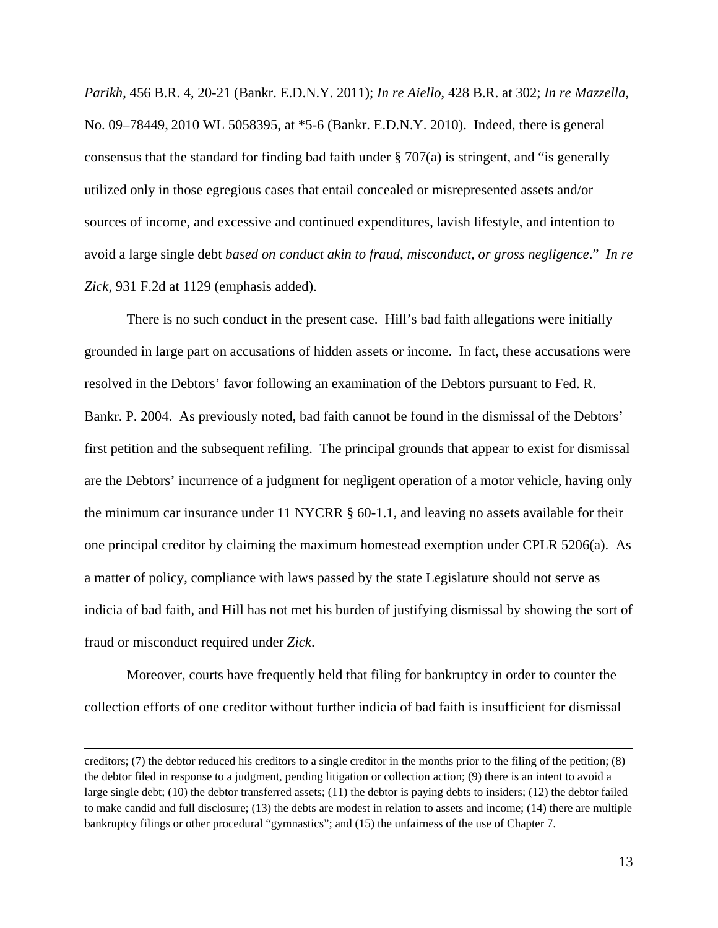*Parikh*, 456 B.R. 4, 20-21 (Bankr. E.D.N.Y. 2011); *In re Aiello*, 428 B.R. at 302; *In re Mazzella*, No. 09–78449, 2010 WL 5058395, at \*5-6 (Bankr. E.D.N.Y. 2010). Indeed, there is general consensus that the standard for finding bad faith under  $\S$  707(a) is stringent, and "is generally utilized only in those egregious cases that entail concealed or misrepresented assets and/or sources of income, and excessive and continued expenditures, lavish lifestyle, and intention to avoid a large single debt *based on conduct akin to fraud, misconduct, or gross negligence*." *In re Zick*, 931 F.2d at 1129 (emphasis added).

There is no such conduct in the present case. Hill's bad faith allegations were initially grounded in large part on accusations of hidden assets or income. In fact, these accusations were resolved in the Debtors' favor following an examination of the Debtors pursuant to Fed. R. Bankr. P. 2004. As previously noted, bad faith cannot be found in the dismissal of the Debtors' first petition and the subsequent refiling. The principal grounds that appear to exist for dismissal are the Debtors' incurrence of a judgment for negligent operation of a motor vehicle, having only the minimum car insurance under 11 NYCRR § 60-1.1, and leaving no assets available for their one principal creditor by claiming the maximum homestead exemption under CPLR 5206(a). As a matter of policy, compliance with laws passed by the state Legislature should not serve as indicia of bad faith, and Hill has not met his burden of justifying dismissal by showing the sort of fraud or misconduct required under *Zick*.

 Moreover, courts have frequently held that filing for bankruptcy in order to counter the collection efforts of one creditor without further indicia of bad faith is insufficient for dismissal

<u> 1989 - Johann Stein, marwolaethau a gweledydd a ganlad y ganlad y ganlad y ganlad y ganlad y ganlad y ganlad</u>

creditors; (7) the debtor reduced his creditors to a single creditor in the months prior to the filing of the petition; (8) the debtor filed in response to a judgment, pending litigation or collection action; (9) there is an intent to avoid a large single debt; (10) the debtor transferred assets; (11) the debtor is paying debts to insiders; (12) the debtor failed to make candid and full disclosure; (13) the debts are modest in relation to assets and income; (14) there are multiple bankruptcy filings or other procedural "gymnastics"; and (15) the unfairness of the use of Chapter 7.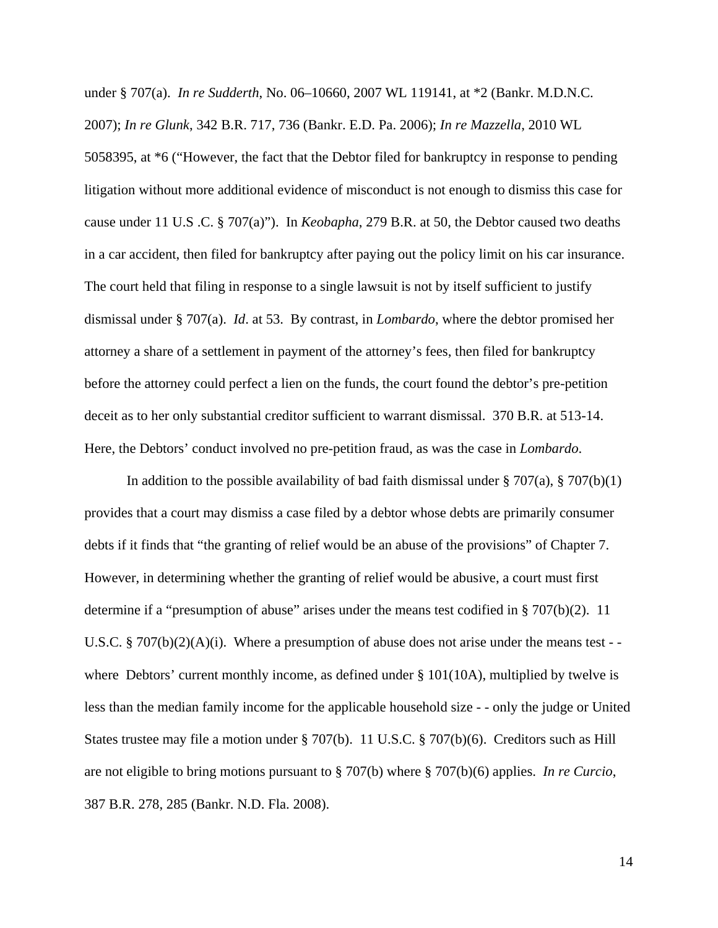under § 707(a). *In re Sudderth*, No. 06–10660, 2007 WL 119141, at \*2 (Bankr. M.D.N.C. 2007); *In re Glunk*, 342 B.R. 717, 736 (Bankr. E.D. Pa. 2006); *In re Mazzella*, 2010 WL 5058395, at \*6 ("However, the fact that the Debtor filed for bankruptcy in response to pending litigation without more additional evidence of misconduct is not enough to dismiss this case for cause under 11 U.S .C. § 707(a)"). In *Keobapha*, 279 B.R. at 50, the Debtor caused two deaths in a car accident, then filed for bankruptcy after paying out the policy limit on his car insurance. The court held that filing in response to a single lawsuit is not by itself sufficient to justify dismissal under § 707(a). *Id*. at 53. By contrast, in *Lombardo*, where the debtor promised her attorney a share of a settlement in payment of the attorney's fees, then filed for bankruptcy before the attorney could perfect a lien on the funds, the court found the debtor's pre-petition deceit as to her only substantial creditor sufficient to warrant dismissal. 370 B.R. at 513-14. Here, the Debtors' conduct involved no pre-petition fraud, as was the case in *Lombardo*.

In addition to the possible availability of bad faith dismissal under  $\S 707(a)$ ,  $\S 707(b)(1)$ provides that a court may dismiss a case filed by a debtor whose debts are primarily consumer debts if it finds that "the granting of relief would be an abuse of the provisions" of Chapter 7. However, in determining whether the granting of relief would be abusive, a court must first determine if a "presumption of abuse" arises under the means test codified in § 707(b)(2). 11 U.S.C. § 707(b)(2)(A)(i). Where a presumption of abuse does not arise under the means test - where Debtors' current monthly income, as defined under  $\S 101(10A)$ , multiplied by twelve is less than the median family income for the applicable household size - - only the judge or United States trustee may file a motion under § 707(b). 11 U.S.C. § 707(b)(6). Creditors such as Hill are not eligible to bring motions pursuant to § 707(b) where § 707(b)(6) applies. *In re Curcio*, 387 B.R. 278, 285 (Bankr. N.D. Fla. 2008).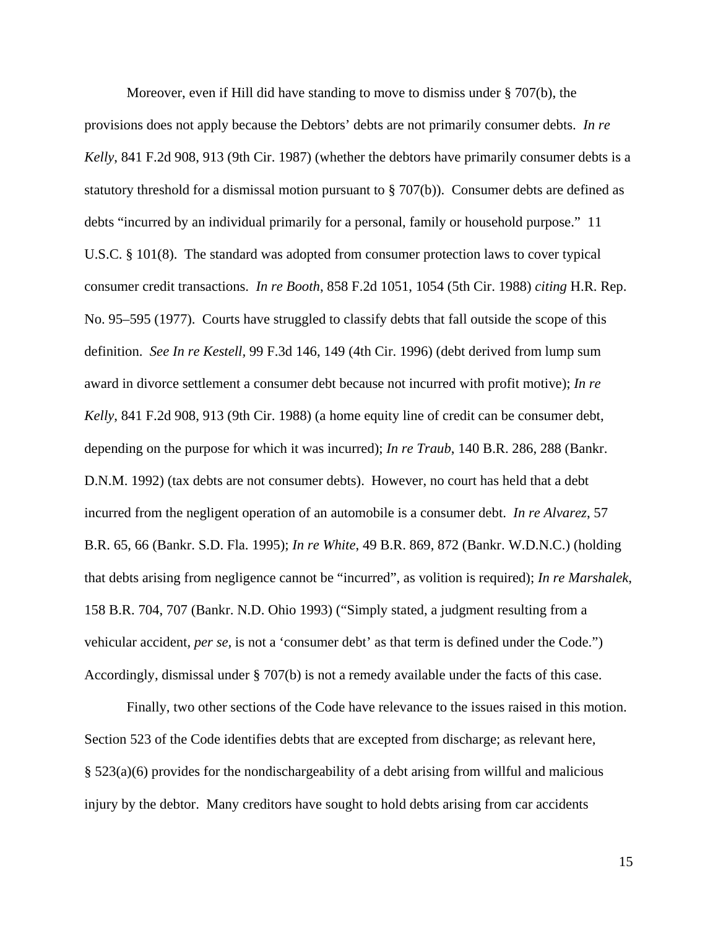Moreover, even if Hill did have standing to move to dismiss under § 707(b), the provisions does not apply because the Debtors' debts are not primarily consumer debts. *In re Kelly*, 841 F.2d 908, 913 (9th Cir. 1987) (whether the debtors have primarily consumer debts is a statutory threshold for a dismissal motion pursuant to § 707(b)). Consumer debts are defined as debts "incurred by an individual primarily for a personal, family or household purpose." 11 U.S.C. § 101(8). The standard was adopted from consumer protection laws to cover typical consumer credit transactions. *In re Booth*, 858 F.2d 1051, 1054 (5th Cir. 1988) *citing* H.R. Rep. No. 95–595 (1977). Courts have struggled to classify debts that fall outside the scope of this definition. *See In re Kestell,* 99 F.3d 146, 149 (4th Cir. 1996) (debt derived from lump sum award in divorce settlement a consumer debt because not incurred with profit motive); *In re Kelly*, 841 F.2d 908, 913 (9th Cir. 1988) (a home equity line of credit can be consumer debt, depending on the purpose for which it was incurred); *In re Traub*, 140 B.R. 286, 288 (Bankr. D.N.M. 1992) (tax debts are not consumer debts). However, no court has held that a debt incurred from the negligent operation of an automobile is a consumer debt. *In re Alvarez*, 57 B.R. 65, 66 (Bankr. S.D. Fla. 1995); *In re White*, 49 B.R. 869, 872 (Bankr. W.D.N.C.) (holding that debts arising from negligence cannot be "incurred", as volition is required); *In re Marshalek*, 158 B.R. 704, 707 (Bankr. N.D. Ohio 1993) ("Simply stated, a judgment resulting from a vehicular accident, *per se,* is not a 'consumer debt' as that term is defined under the Code.") Accordingly, dismissal under § 707(b) is not a remedy available under the facts of this case.

Finally, two other sections of the Code have relevance to the issues raised in this motion. Section 523 of the Code identifies debts that are excepted from discharge; as relevant here, § 523(a)(6) provides for the nondischargeability of a debt arising from willful and malicious injury by the debtor. Many creditors have sought to hold debts arising from car accidents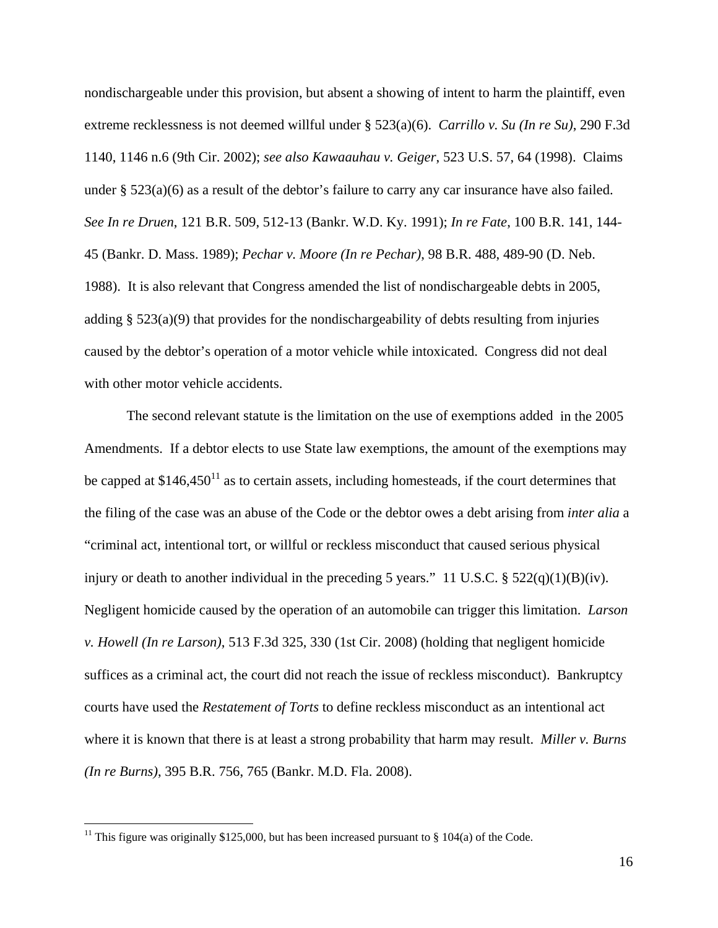nondischargeable under this provision, but absent a showing of intent to harm the plaintiff, even extreme recklessness is not deemed willful under § 523(a)(6). *Carrillo v. Su (In re Su)*, 290 F.3d 1140, 1146 n.6 (9th Cir. 2002); *see also Kawaauhau v. Geiger*, 523 U.S. 57, 64 (1998). Claims under § 523(a)(6) as a result of the debtor's failure to carry any car insurance have also failed. *See In re Druen*, 121 B.R. 509, 512-13 (Bankr. W.D. Ky. 1991); *In re Fate*, 100 B.R. 141, 144- 45 (Bankr. D. Mass. 1989); *Pechar v. Moore (In re Pechar)*, 98 B.R. 488, 489-90 (D. Neb. 1988). It is also relevant that Congress amended the list of nondischargeable debts in 2005, adding § 523(a)(9) that provides for the nondischargeability of debts resulting from injuries caused by the debtor's operation of a motor vehicle while intoxicated. Congress did not deal with other motor vehicle accidents.

 The second relevant statute is the limitation on the use of exemptions added in the 2005 Amendments. If a debtor elects to use State law exemptions, the amount of the exemptions may be capped at  $$146,450^{11}$  as to certain assets, including homesteads, if the court determines that the filing of the case was an abuse of the Code or the debtor owes a debt arising from *inter alia* a "criminal act, intentional tort, or willful or reckless misconduct that caused serious physical injury or death to another individual in the preceding 5 years." 11 U.S.C.  $\S 522(q)(1)(B)(iv)$ . Negligent homicide caused by the operation of an automobile can trigger this limitation. *Larson v. Howell (In re Larson)*, 513 F.3d 325, 330 (1st Cir. 2008) (holding that negligent homicide suffices as a criminal act, the court did not reach the issue of reckless misconduct). Bankruptcy courts have used the *Restatement of Torts* to define reckless misconduct as an intentional act where it is known that there is at least a strong probability that harm may result. *Miller v. Burns (In re Burns)*, 395 B.R. 756, 765 (Bankr. M.D. Fla. 2008).

<sup>&</sup>lt;sup>11</sup> This figure was originally \$125,000, but has been increased pursuant to  $\S$  104(a) of the Code.